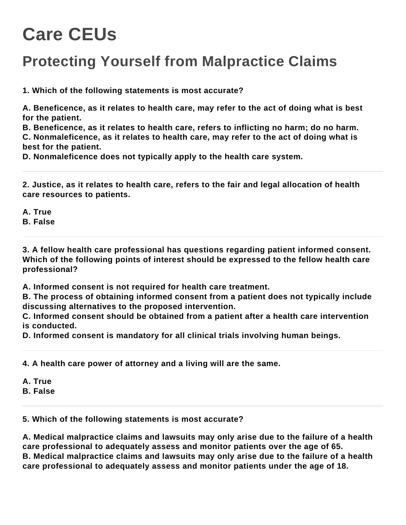## **Care CEUs**

## **Protecting Yourself from Malpractice Claims**

**1. Which of the following statements is most accurate?**

**A. Beneficence, as it relates to health care, may refer to the act of doing what is best for the patient.**

**B. Beneficence, as it relates to health care, refers to inflicting no harm; do no harm. C. Nonmaleficence, as it relates to health care, may refer to the act of doing what is best for the patient.**

**D. Nonmaleficence does not typically apply to the health care system.**

**2. Justice, as it relates to health care, refers to the fair and legal allocation of health care resources to patients.**

**A. True B. False**

**3. A fellow health care professional has questions regarding patient informed consent. Which of the following points of interest should be expressed to the fellow health care professional?**

**A. Informed consent is not required for health care treatment.**

**B. The process of obtaining informed consent from a patient does not typically include discussing alternatives to the proposed intervention.**

**C. Informed consent should be obtained from a patient after a health care intervention is conducted.**

**D. Informed consent is mandatory for all clinical trials involving human beings.**

**4. A health care power of attorney and a living will are the same.**

**A. True**

**B. False**

**5. Which of the following statements is most accurate?**

**A. Medical malpractice claims and lawsuits may only arise due to the failure of a health care professional to adequately assess and monitor patients over the age of 65. B. Medical malpractice claims and lawsuits may only arise due to the failure of a health care professional to adequately assess and monitor patients under the age of 18.**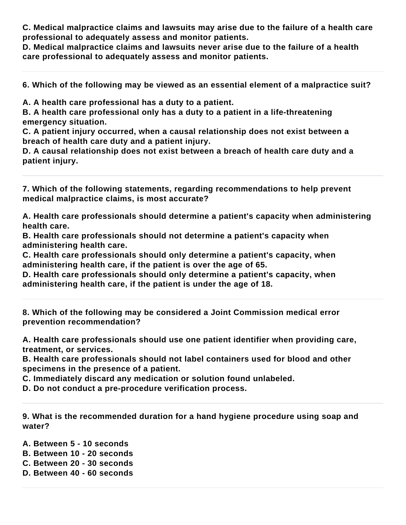**C. Medical malpractice claims and lawsuits may arise due to the failure of a health care professional to adequately assess and monitor patients.**

**D. Medical malpractice claims and lawsuits never arise due to the failure of a health care professional to adequately assess and monitor patients.**

**6. Which of the following may be viewed as an essential element of a malpractice suit?**

**A. A health care professional has a duty to a patient.**

**B. A health care professional only has a duty to a patient in a life-threatening emergency situation.**

**C. A patient injury occurred, when a causal relationship does not exist between a breach of health care duty and a patient injury.**

**D. A causal relationship does not exist between a breach of health care duty and a patient injury.**

**7. Which of the following statements, regarding recommendations to help prevent medical malpractice claims, is most accurate?**

**A. Health care professionals should determine a patient's capacity when administering health care.**

**B. Health care professionals should not determine a patient's capacity when administering health care.**

**C. Health care professionals should only determine a patient's capacity, when administering health care, if the patient is over the age of 65.**

**D. Health care professionals should only determine a patient's capacity, when administering health care, if the patient is under the age of 18.**

**8. Which of the following may be considered a Joint Commission medical error prevention recommendation?**

**A. Health care professionals should use one patient identifier when providing care, treatment, or services.**

**B. Health care professionals should not label containers used for blood and other specimens in the presence of a patient.**

**C. Immediately discard any medication or solution found unlabeled.**

**D. Do not conduct a pre-procedure verification process.**

**9. What is the recommended duration for a hand hygiene procedure using soap and water?**

**A. Between 5 - 10 seconds**

**B. Between 10 - 20 seconds**

- **C. Between 20 30 seconds**
- **D. Between 40 60 seconds**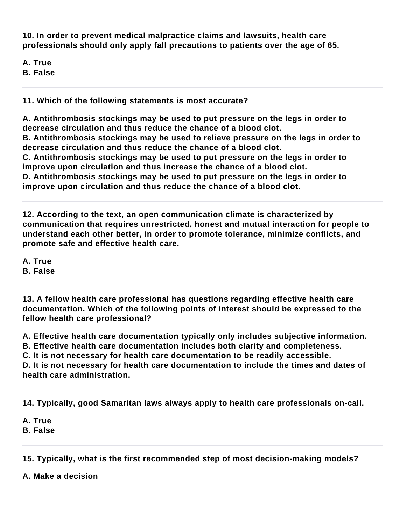**10. In order to prevent medical malpractice claims and lawsuits, health care professionals should only apply fall precautions to patients over the age of 65.**

- **A. True**
- **B. False**

**11. Which of the following statements is most accurate?**

**A. Antithrombosis stockings may be used to put pressure on the legs in order to decrease circulation and thus reduce the chance of a blood clot. B. Antithrombosis stockings may be used to relieve pressure on the legs in order to decrease circulation and thus reduce the chance of a blood clot. C. Antithrombosis stockings may be used to put pressure on the legs in order to improve upon circulation and thus increase the chance of a blood clot. D. Antithrombosis stockings may be used to put pressure on the legs in order to improve upon circulation and thus reduce the chance of a blood clot.**

**12. According to the text, an open communication climate is characterized by communication that requires unrestricted, honest and mutual interaction for people to understand each other better, in order to promote tolerance, minimize conflicts, and promote safe and effective health care.**

**A. True**

**B. False**

**13. A fellow health care professional has questions regarding effective health care documentation. Which of the following points of interest should be expressed to the fellow health care professional?**

**A. Effective health care documentation typically only includes subjective information. B. Effective health care documentation includes both clarity and completeness. C. It is not necessary for health care documentation to be readily accessible. D. It is not necessary for health care documentation to include the times and dates of health care administration.**

**14. Typically, good Samaritan laws always apply to health care professionals on-call.**

**A. True B. False**

**15. Typically, what is the first recommended step of most decision-making models?**

**A. Make a decision**